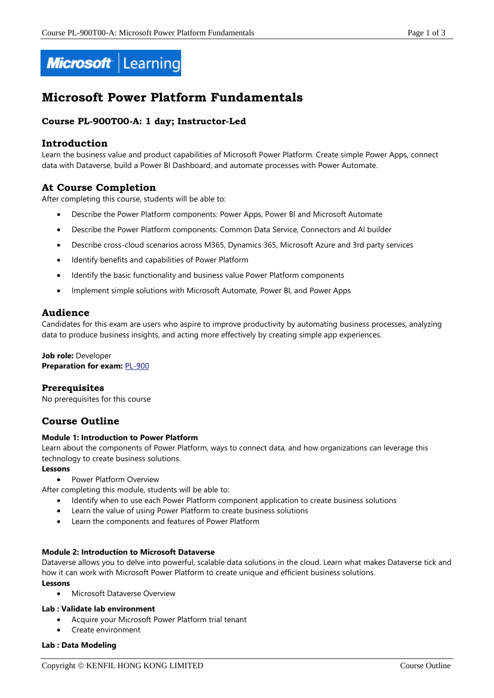

# **Microsoft Power Platform Fundamentals**

# **Course PL-900T00-A: 1 day; Instructor-Led**

## **Introduction**

Learn the business value and product capabilities of Microsoft Power Platform. Create simple Power Apps, connect data with Dataverse, build a Power BI Dashboard, and automate processes with Power Automate.

# **At Course Completion**

After completing this course, students will be able to:

- Describe the Power Platform components: Power Apps, Power BI and Microsoft Automate
- Describe the Power Platform components: Common Data Service, Connectors and AI builder
- Describe cross-cloud scenarios across M365, Dynamics 365, Microsoft Azure and 3rd party services
- Identify benefits and capabilities of Power Platform
- Identify the basic functionality and business value Power Platform components
- Implement simple solutions with Microsoft Automate, Power BI, and Power Apps

## **Audience**

Candidates for this exam are users who aspire to improve productivity by automating business processes, analyzing data to produce business insights, and acting more effectively by creating simple app experiences.

## **Job role:** Developer **Preparation for exam:** [PL-900](https://docs.microsoft.com/en-us/learn/certifications/exams/pl-900)

## **Prerequisites**

No prerequisites for this course

# **Course Outline**

## **Module 1: Introduction to Power Platform**

Learn about the components of Power Platform, ways to connect data, and how organizations can leverage this technology to create business solutions.

## **Lessons**

- Power Platform Overview
- After completing this module, students will be able to:
	- Identify when to use each Power Platform component application to create business solutions
	- Learn the value of using Power Platform to create business solutions
	- Learn the components and features of Power Platform

## **Module 2: Introduction to Microsoft Dataverse**

Dataverse allows you to delve into powerful, scalable data solutions in the cloud. Learn what makes Dataverse tick and how it can work with Microsoft Power Platform to create unique and efficient business solutions.

## **Lessons**

• Microsoft Dataverse Overview

## **Lab : Validate lab environment**

- Acquire your Microsoft Power Platform trial tenant
- Create environment

## **Lab : Data Modeling**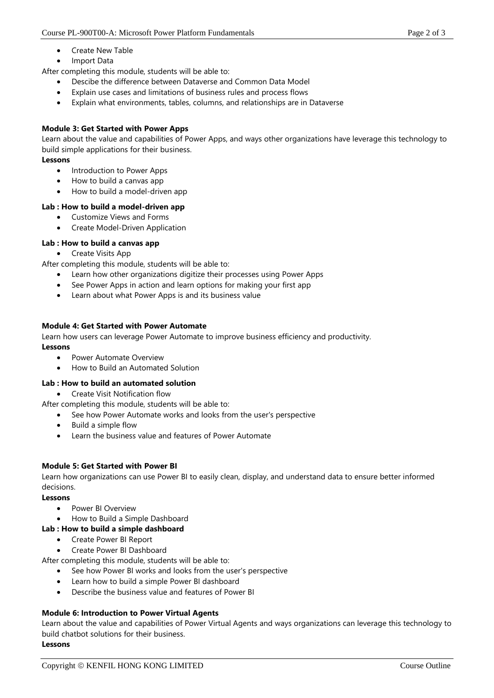- Create New Table
- Import Data

After completing this module, students will be able to:

- Descibe the difference between Dataverse and Common Data Model
- Explain use cases and limitations of business rules and process flows
- Explain what environments, tables, columns, and relationships are in Dataverse

## **Module 3: Get Started with Power Apps**

Learn about the value and capabilities of Power Apps, and ways other organizations have leverage this technology to build simple applications for their business.

## **Lessons**

- Introduction to Power Apps
- How to build a canvas app
- How to build a model-driven app

## **Lab : How to build a model-driven app**

- Customize Views and Forms
- Create Model-Driven Application

## **Lab : How to build a canvas app**

• Create Visits App

After completing this module, students will be able to:

- Learn how other organizations digitize their processes using Power Apps
- See Power Apps in action and learn options for making your first app
- Learn about what Power Apps is and its business value

## **Module 4: Get Started with Power Automate**

Learn how users can leverage Power Automate to improve business efficiency and productivity. **Lessons**

- Power Automate Overview
- How to Build an Automated Solution

## **Lab : How to build an automated solution**

- Create Visit Notification flow
- After completing this module, students will be able to:
	- See how Power Automate works and looks from the user's perspective
		- Build a simple flow
	- Learn the business value and features of Power Automate

## **Module 5: Get Started with Power BI**

Learn how organizations can use Power BI to easily clean, display, and understand data to ensure better informed decisions.

## **Lessons**

- Power BI Overview
- How to Build a Simple Dashboard

## **Lab : How to build a simple dashboard**

- Create Power BI Report
- Create Power BI Dashboard

After completing this module, students will be able to:

- See how Power BI works and looks from the user's perspective
- Learn how to build a simple Power BI dashboard
- Describe the business value and features of Power BI

## **Module 6: Introduction to Power Virtual Agents**

Learn about the value and capabilities of Power Virtual Agents and ways organizations can leverage this technology to build chatbot solutions for their business.

# **Lessons**